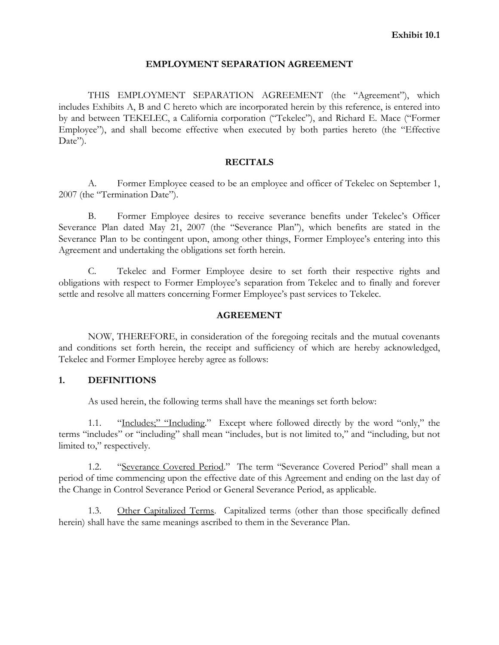## **EMPLOYMENT SEPARATION AGREEMENT**

THIS EMPLOYMENT SEPARATION AGREEMENT (the "Agreement"), which includes Exhibits A, B and C hereto which are incorporated herein by this reference, is entered into by and between TEKELEC, a California corporation ("Tekelec"), and Richard E. Mace ("Former Employee"), and shall become effective when executed by both parties hereto (the "Effective Date").

## **RECITALS**

A. Former Employee ceased to be an employee and officer of Tekelec on September 1, 2007 (the "Termination Date").

B. Former Employee desires to receive severance benefits under Tekelec's Officer Severance Plan dated May 21, 2007 (the "Severance Plan"), which benefits are stated in the Severance Plan to be contingent upon, among other things, Former Employee's entering into this Agreement and undertaking the obligations set forth herein.

C. Tekelec and Former Employee desire to set forth their respective rights and obligations with respect to Former Employee's separation from Tekelec and to finally and forever settle and resolve all matters concerning Former Employee's past services to Tekelec.

## **AGREEMENT**

NOW, THEREFORE, in consideration of the foregoing recitals and the mutual covenants and conditions set forth herein, the receipt and sufficiency of which are hereby acknowledged, Tekelec and Former Employee hereby agree as follows:

## **1. DEFINITIONS**

As used herein, the following terms shall have the meanings set forth below:

1.1. "Includes;" "Including." Except where followed directly by the word "only," the terms "includes" or "including" shall mean "includes, but is not limited to," and "including, but not limited to," respectively.

1.2. "Severance Covered Period." The term "Severance Covered Period" shall mean a period of time commencing upon the effective date of this Agreement and ending on the last day of the Change in Control Severance Period or General Severance Period, as applicable.

1.3. Other Capitalized Terms. Capitalized terms (other than those specifically defined herein) shall have the same meanings ascribed to them in the Severance Plan.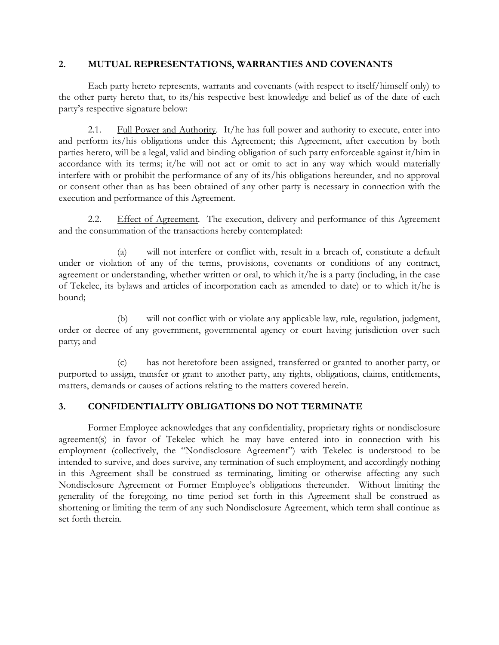### **2. MUTUAL REPRESENTATIONS, WARRANTIES AND COVENANTS**

Each party hereto represents, warrants and covenants (with respect to itself/himself only) to the other party hereto that, to its/his respective best knowledge and belief as of the date of each party's respective signature below:

2.1. Full Power and Authority. It/he has full power and authority to execute, enter into and perform its/his obligations under this Agreement; this Agreement, after execution by both parties hereto, will be a legal, valid and binding obligation of such party enforceable against it/him in accordance with its terms; it/he will not act or omit to act in any way which would materially interfere with or prohibit the performance of any of its/his obligations hereunder, and no approval or consent other than as has been obtained of any other party is necessary in connection with the execution and performance of this Agreement.

2.2. Effect of Agreement. The execution, delivery and performance of this Agreement and the consummation of the transactions hereby contemplated:

(a) will not interfere or conflict with, result in a breach of, constitute a default under or violation of any of the terms, provisions, covenants or conditions of any contract, agreement or understanding, whether written or oral, to which it/he is a party (including, in the case of Tekelec, its bylaws and articles of incorporation each as amended to date) or to which it/he is bound;

(b) will not conflict with or violate any applicable law, rule, regulation, judgment, order or decree of any government, governmental agency or court having jurisdiction over such party; and

 $(c)$ has not heretofore been assigned, transferred or granted to another party, or purported to assign, transfer or grant to another party, any rights, obligations, claims, entitlements, matters, demands or causes of actions relating to the matters covered herein.

### **3. CONFIDENTIALITY OBLIGATIONS DO NOT TERMINATE**

Former Employee acknowledges that any confidentiality, proprietary rights or nondisclosure agreement(s) in favor of Tekelec which he may have entered into in connection with his employment (collectively, the "Nondisclosure Agreement") with Tekelec is understood to be intended to survive, and does survive, any termination of such employment, and accordingly nothing in this Agreement shall be construed as terminating, limiting or otherwise affecting any such Nondisclosure Agreement or Former Employee's obligations thereunder. Without limiting the generality of the foregoing, no time period set forth in this Agreement shall be construed as shortening or limiting the term of any such Nondisclosure Agreement, which term shall continue as set forth therein.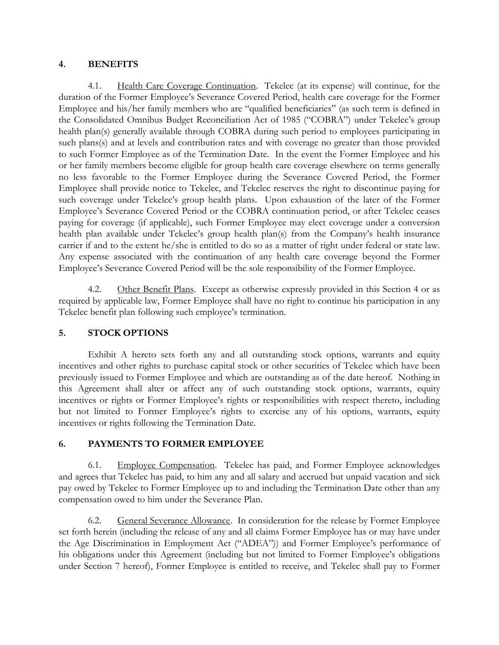## **4. BENEFITS**

4.1. Health Care Coverage Continuation. Tekelec (at its expense) will continue, for the duration of the Former Employee's Severance Covered Period, health care coverage for the Former Employee and his/her family members who are "qualified beneficiaries" (as such term is defined in the Consolidated Omnibus Budget Reconciliation Act of 1985 ("COBRA") under Tekelec's group health plan(s) generally available through COBRA during such period to employees participating in such plans(s) and at levels and contribution rates and with coverage no greater than those provided to such Former Employee as of the Termination Date. In the event the Former Employee and his or her family members become eligible for group health care coverage elsewhere on terms generally no less favorable to the Former Employee during the Severance Covered Period, the Former Employee shall provide notice to Tekelec, and Tekelec reserves the right to discontinue paying for such coverage under Tekelec's group health plans. Upon exhaustion of the later of the Former Employee's Severance Covered Period or the COBRA continuation period, or after Tekelec ceases paying for coverage (if applicable), such Former Employee may elect coverage under a conversion health plan available under Tekelec's group health plan(s) from the Company's health insurance carrier if and to the extent he/she is entitled to do so as a matter of right under federal or state law. Any expense associated with the continuation of any health care coverage beyond the Former Employee's Severance Covered Period will be the sole responsibility of the Former Employee.

4.2. Other Benefit Plans. Except as otherwise expressly provided in this Section 4 or as required by applicable law, Former Employee shall have no right to continue his participation in any Tekelec benefit plan following such employee's termination.

### **5. STOCK OPTIONS**

Exhibit A hereto sets forth any and all outstanding stock options, warrants and equity incentives and other rights to purchase capital stock or other securities of Tekelec which have been previously issued to Former Employee and which are outstanding as of the date hereof. Nothing in this Agreement shall alter or affect any of such outstanding stock options, warrants, equity incentives or rights or Former Employee's rights or responsibilities with respect thereto, including but not limited to Former Employee's rights to exercise any of his options, warrants, equity incentives or rights following the Termination Date.

### **6. PAYMENTS TO FORMER EMPLOYEE**

6.1. Employee Compensation. Tekelec has paid, and Former Employee acknowledges and agrees that Tekelec has paid, to him any and all salary and accrued but unpaid vacation and sick pay owed by Tekelec to Former Employee up to and including the Termination Date other than any compensation owed to him under the Severance Plan.

6.2. General Severance Allowance. In consideration for the release by Former Employee set forth herein (including the release of any and all claims Former Employee has or may have under the Age Discrimination in Employment Act ("ADEA")) and Former Employee's performance of his obligations under this Agreement (including but not limited to Former Employee's obligations under Section 7 hereof), Former Employee is entitled to receive, and Tekelec shall pay to Former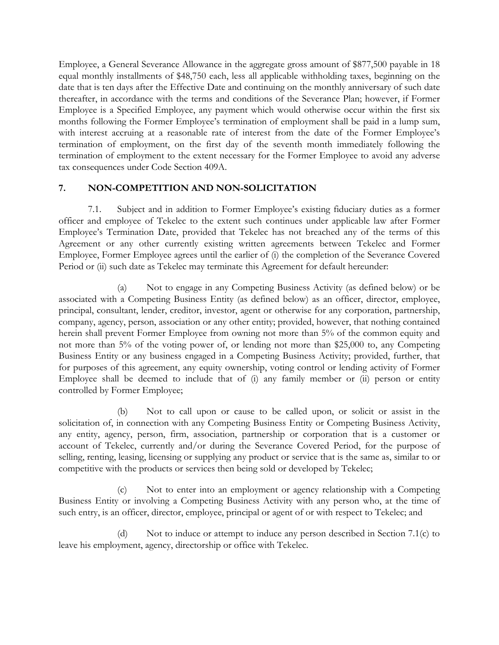Employee, a General Severance Allowance in the aggregate gross amount of \$877,500 payable in 18 equal monthly installments of \$48,750 each, less all applicable withholding taxes, beginning on the date that is ten days after the Effective Date and continuing on the monthly anniversary of such date thereafter, in accordance with the terms and conditions of the Severance Plan; however, if Former Employee is a Specified Employee, any payment which would otherwise occur within the first six months following the Former Employee's termination of employment shall be paid in a lump sum, with interest accruing at a reasonable rate of interest from the date of the Former Employee's termination of employment, on the first day of the seventh month immediately following the termination of employment to the extent necessary for the Former Employee to avoid any adverse tax consequences under Code Section 409A.

### **7. NON-COMPETITION AND NON-SOLICITATION**

7.1. Subject and in addition to Former Employee's existing fiduciary duties as a former officer and employee of Tekelec to the extent such continues under applicable law after Former Employee's Termination Date, provided that Tekelec has not breached any of the terms of this Agreement or any other currently existing written agreements between Tekelec and Former Employee, Former Employee agrees until the earlier of (i) the completion of the Severance Covered Period or (ii) such date as Tekelec may terminate this Agreement for default hereunder:

(a) Not to engage in any Competing Business Activity (as defined below) or be associated with a Competing Business Entity (as defined below) as an officer, director, employee, principal, consultant, lender, creditor, investor, agent or otherwise for any corporation, partnership, company, agency, person, association or any other entity; provided, however, that nothing contained herein shall prevent Former Employee from owning not more than 5% of the common equity and not more than 5% of the voting power of, or lending not more than \$25,000 to, any Competing Business Entity or any business engaged in a Competing Business Activity; provided, further, that for purposes of this agreement, any equity ownership, voting control or lending activity of Former Employee shall be deemed to include that of (i) any family member or (ii) person or entity controlled by Former Employee;

(b) Not to call upon or cause to be called upon, or solicit or assist in the solicitation of, in connection with any Competing Business Entity or Competing Business Activity, any entity, agency, person, firm, association, partnership or corporation that is a customer or account of Tekelec, currently and/or during the Severance Covered Period, for the purpose of selling, renting, leasing, licensing or supplying any product or service that is the same as, similar to or competitive with the products or services then being sold or developed by Tekelec;

 $(c)$ Not to enter into an employment or agency relationship with a Competing Business Entity or involving a Competing Business Activity with any person who, at the time of such entry, is an officer, director, employee, principal or agent of or with respect to Tekelec; and

(d) Not to induce or attempt to induce any person described in Section 7.1(c) to leave his employment, agency, directorship or office with Tekelec.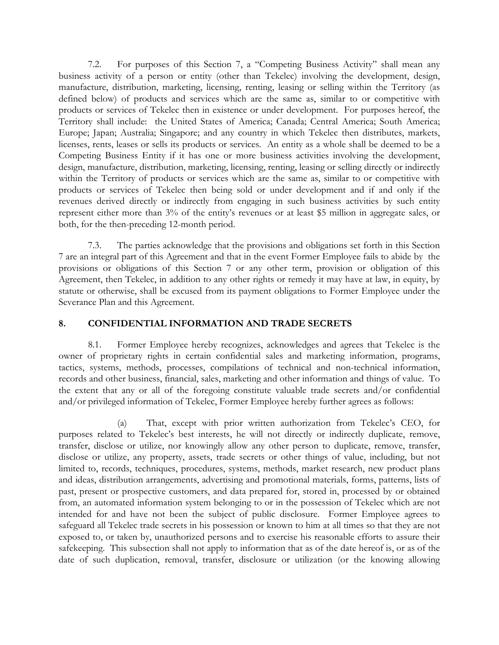7.2. For purposes of this Section 7, a "Competing Business Activity" shall mean any business activity of a person or entity (other than Tekelec) involving the development, design, manufacture, distribution, marketing, licensing, renting, leasing or selling within the Territory (as defined below) of products and services which are the same as, similar to or competitive with products or services of Tekelec then in existence or under development. For purposes hereof, the Territory shall include: the United States of America; Canada; Central America; South America; Europe; Japan; Australia; Singapore; and any country in which Tekelec then distributes, markets, licenses, rents, leases or sells its products or services. An entity as a whole shall be deemed to be a Competing Business Entity if it has one or more business activities involving the development, design, manufacture, distribution, marketing, licensing, renting, leasing or selling directly or indirectly within the Territory of products or services which are the same as, similar to or competitive with products or services of Tekelec then being sold or under development and if and only if the revenues derived directly or indirectly from engaging in such business activities by such entity represent either more than 3% of the entity's revenues or at least \$5 million in aggregate sales, or both, for the then-preceding 12-month period.

7.3. The parties acknowledge that the provisions and obligations set forth in this Section 7 are an integral part of this Agreement and that in the event Former Employee fails to abide by the provisions or obligations of this Section 7 or any other term, provision or obligation of this Agreement, then Tekelec, in addition to any other rights or remedy it may have at law, in equity, by statute or otherwise, shall be excused from its payment obligations to Former Employee under the Severance Plan and this Agreement.

### **8. CONFIDENTIAL INFORMATION AND TRADE SECRETS**

8.1. Former Employee hereby recognizes, acknowledges and agrees that Tekelec is the owner of proprietary rights in certain confidential sales and marketing information, programs, tactics, systems, methods, processes, compilations of technical and non-technical information, records and other business, financial, sales, marketing and other information and things of value. To the extent that any or all of the foregoing constitute valuable trade secrets and/or confidential and/or privileged information of Tekelec, Former Employee hereby further agrees as follows:

(a) That, except with prior written authorization from Tekelec's CEO, for purposes related to Tekelec's best interests, he will not directly or indirectly duplicate, remove, transfer, disclose or utilize, nor knowingly allow any other person to duplicate, remove, transfer, disclose or utilize, any property, assets, trade secrets or other things of value, including, but not limited to, records, techniques, procedures, systems, methods, market research, new product plans and ideas, distribution arrangements, advertising and promotional materials, forms, patterns, lists of past, present or prospective customers, and data prepared for, stored in, processed by or obtained from, an automated information system belonging to or in the possession of Tekelec which are not intended for and have not been the subject of public disclosure. Former Employee agrees to safeguard all Tekelec trade secrets in his possession or known to him at all times so that they are not exposed to, or taken by, unauthorized persons and to exercise his reasonable efforts to assure their safekeeping. This subsection shall not apply to information that as of the date hereof is, or as of the date of such duplication, removal, transfer, disclosure or utilization (or the knowing allowing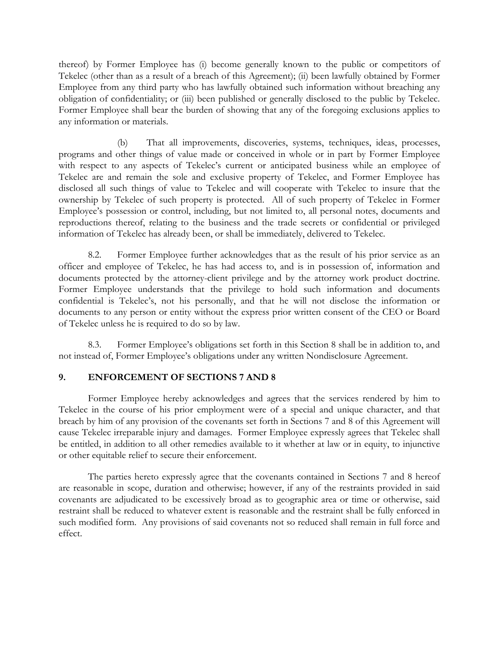thereof) by Former Employee has (i) become generally known to the public or competitors of Tekelec (other than as a result of a breach of this Agreement); (ii) been lawfully obtained by Former Employee from any third party who has lawfully obtained such information without breaching any obligation of confidentiality; or (iii) been published or generally disclosed to the public by Tekelec. Former Employee shall bear the burden of showing that any of the foregoing exclusions applies to any information or materials.

 $(b)$ That all improvements, discoveries, systems, techniques, ideas, processes, programs and other things of value made or conceived in whole or in part by Former Employee with respect to any aspects of Tekelec's current or anticipated business while an employee of Tekelec are and remain the sole and exclusive property of Tekelec, and Former Employee has disclosed all such things of value to Tekelec and will cooperate with Tekelec to insure that the ownership by Tekelec of such property is protected. All of such property of Tekelec in Former Employee's possession or control, including, but not limited to, all personal notes, documents and reproductions thereof, relating to the business and the trade secrets or confidential or privileged information of Tekelec has already been, or shall be immediately, delivered to Tekelec.

8.2. Former Employee further acknowledges that as the result of his prior service as an officer and employee of Tekelec, he has had access to, and is in possession of, information and documents protected by the attorney-client privilege and by the attorney work product doctrine. Former Employee understands that the privilege to hold such information and documents confidential is Tekelec's, not his personally, and that he will not disclose the information or documents to any person or entity without the express prior written consent of the CEO or Board of Tekelec unless he is required to do so by law.

8.3. Former Employee's obligations set forth in this Section 8 shall be in addition to, and not instead of, Former Employee's obligations under any written Nondisclosure Agreement.

### **9. ENFORCEMENT OF SECTIONS 7 AND 8**

Former Employee hereby acknowledges and agrees that the services rendered by him to Tekelec in the course of his prior employment were of a special and unique character, and that breach by him of any provision of the covenants set forth in Sections 7 and 8 of this Agreement will cause Tekelec irreparable injury and damages. Former Employee expressly agrees that Tekelec shall be entitled, in addition to all other remedies available to it whether at law or in equity, to injunctive or other equitable relief to secure their enforcement.

The parties hereto expressly agree that the covenants contained in Sections 7 and 8 hereof are reasonable in scope, duration and otherwise; however, if any of the restraints provided in said covenants are adjudicated to be excessively broad as to geographic area or time or otherwise, said restraint shall be reduced to whatever extent is reasonable and the restraint shall be fully enforced in such modified form. Any provisions of said covenants not so reduced shall remain in full force and effect.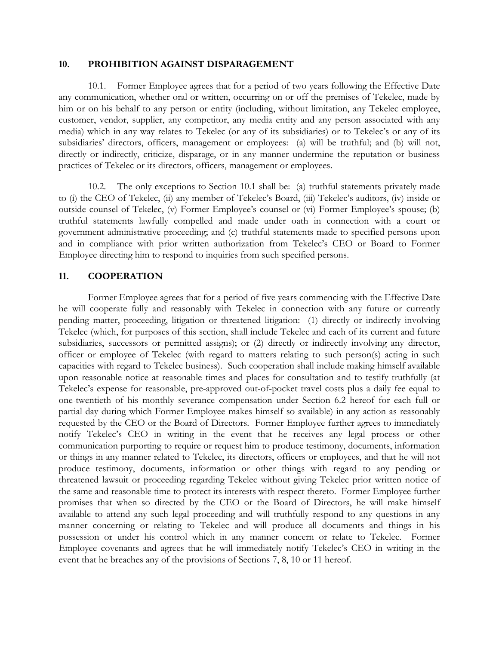#### **10. PROHIBITION AGAINST DISPARAGEMENT**

10.1. Former Employee agrees that for a period of two years following the Effective Date any communication, whether oral or written, occurring on or off the premises of Tekelec, made by him or on his behalf to any person or entity (including, without limitation, any Tekelec employee, customer, vendor, supplier, any competitor, any media entity and any person associated with any media) which in any way relates to Tekelec (or any of its subsidiaries) or to Tekelec's or any of its subsidiaries' directors, officers, management or employees: (a) will be truthful; and (b) will not, directly or indirectly, criticize, disparage, or in any manner undermine the reputation or business practices of Tekelec or its directors, officers, management or employees.

10.2. The only exceptions to Section 10.1 shall be: (a) truthful statements privately made to (i) the CEO of Tekelec, (ii) any member of Tekelec's Board, (iii) Tekelec's auditors, (iv) inside or outside counsel of Tekelec, (v) Former Employee's counsel or (vi) Former Employee's spouse; (b) truthful statements lawfully compelled and made under oath in connection with a court or government administrative proceeding; and (c) truthful statements made to specified persons upon and in compliance with prior written authorization from Tekelec's CEO or Board to Former Employee directing him to respond to inquiries from such specified persons.

### **11. COOPERATION**

Former Employee agrees that for a period of five years commencing with the Effective Date he will cooperate fully and reasonably with Tekelec in connection with any future or currently pending matter, proceeding, litigation or threatened litigation: (1) directly or indirectly involving Tekelec (which, for purposes of this section, shall include Tekelec and each of its current and future subsidiaries, successors or permitted assigns); or (2) directly or indirectly involving any director, officer or employee of Tekelec (with regard to matters relating to such person(s) acting in such capacities with regard to Tekelec business). Such cooperation shall include making himself available upon reasonable notice at reasonable times and places for consultation and to testify truthfully (at Tekelec's expense for reasonable, pre-approved out-of-pocket travel costs plus a daily fee equal to one-twentieth of his monthly severance compensation under Section 6.2 hereof for each full or partial day during which Former Employee makes himself so available) in any action as reasonably requested by the CEO or the Board of Directors. Former Employee further agrees to immediately notify Tekelec's CEO in writing in the event that he receives any legal process or other communication purporting to require or request him to produce testimony, documents, information or things in any manner related to Tekelec, its directors, officers or employees, and that he will not produce testimony, documents, information or other things with regard to any pending or threatened lawsuit or proceeding regarding Tekelec without giving Tekelec prior written notice of the same and reasonable time to protect its interests with respect thereto. Former Employee further promises that when so directed by the CEO or the Board of Directors, he will make himself available to attend any such legal proceeding and will truthfully respond to any questions in any manner concerning or relating to Tekelec and will produce all documents and things in his possession or under his control which in any manner concern or relate to Tekelec. Former Employee covenants and agrees that he will immediately notify Tekelec's CEO in writing in the event that he breaches any of the provisions of Sections 7, 8, 10 or 11 hereof.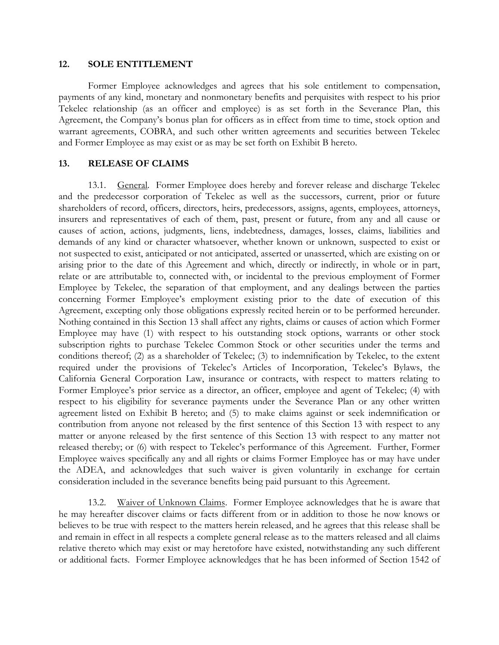#### **12. SOLE ENTITLEMENT**

Former Employee acknowledges and agrees that his sole entitlement to compensation, payments of any kind, monetary and nonmonetary benefits and perquisites with respect to his prior Tekelec relationship (as an officer and employee) is as set forth in the Severance Plan, this Agreement, the Company's bonus plan for officers as in effect from time to time, stock option and warrant agreements, COBRA, and such other written agreements and securities between Tekelec and Former Employee as may exist or as may be set forth on Exhibit B hereto.

#### **13. RELEASE OF CLAIMS**

13.1. General. Former Employee does hereby and forever release and discharge Tekelec and the predecessor corporation of Tekelec as well as the successors, current, prior or future shareholders of record, officers, directors, heirs, predecessors, assigns, agents, employees, attorneys, insurers and representatives of each of them, past, present or future, from any and all cause or causes of action, actions, judgments, liens, indebtedness, damages, losses, claims, liabilities and demands of any kind or character whatsoever, whether known or unknown, suspected to exist or not suspected to exist, anticipated or not anticipated, asserted or unasserted, which are existing on or arising prior to the date of this Agreement and which, directly or indirectly, in whole or in part, relate or are attributable to, connected with, or incidental to the previous employment of Former Employee by Tekelec, the separation of that employment, and any dealings between the parties concerning Former Employee's employment existing prior to the date of execution of this Agreement, excepting only those obligations expressly recited herein or to be performed hereunder. Nothing contained in this Section 13 shall affect any rights, claims or causes of action which Former Employee may have (1) with respect to his outstanding stock options, warrants or other stock subscription rights to purchase Tekelec Common Stock or other securities under the terms and conditions thereof; (2) as a shareholder of Tekelec; (3) to indemnification by Tekelec, to the extent required under the provisions of Tekelec's Articles of Incorporation, Tekelec's Bylaws, the California General Corporation Law, insurance or contracts, with respect to matters relating to Former Employee's prior service as a director, an officer, employee and agent of Tekelec; (4) with respect to his eligibility for severance payments under the Severance Plan or any other written agreement listed on Exhibit B hereto; and (5) to make claims against or seek indemnification or contribution from anyone not released by the first sentence of this Section 13 with respect to any matter or anyone released by the first sentence of this Section 13 with respect to any matter not released thereby; or (6) with respect to Tekelec's performance of this Agreement. Further, Former Employee waives specifically any and all rights or claims Former Employee has or may have under the ADEA, and acknowledges that such waiver is given voluntarily in exchange for certain consideration included in the severance benefits being paid pursuant to this Agreement.

13.2. Waiver of Unknown Claims. Former Employee acknowledges that he is aware that he may hereafter discover claims or facts different from or in addition to those he now knows or believes to be true with respect to the matters herein released, and he agrees that this release shall be and remain in effect in all respects a complete general release as to the matters released and all claims relative thereto which may exist or may heretofore have existed, notwithstanding any such different or additional facts. Former Employee acknowledges that he has been informed of Section 1542 of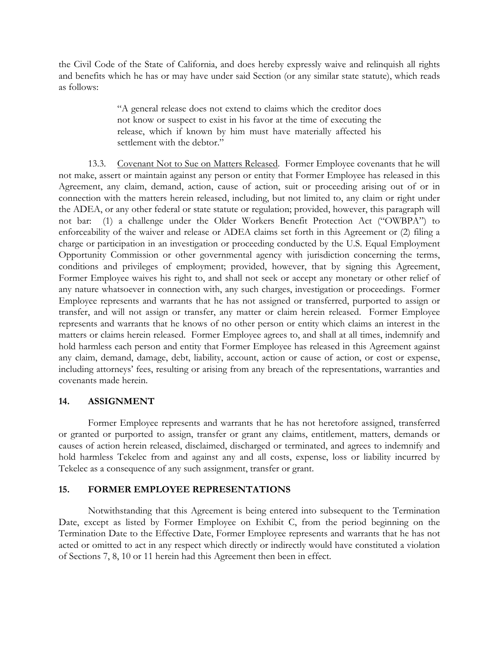the Civil Code of the State of California, and does hereby expressly waive and relinquish all rights and benefits which he has or may have under said Section (or any similar state statute), which reads as follows:

> "A general release does not extend to claims which the creditor does not know or suspect to exist in his favor at the time of executing the release, which if known by him must have materially affected his settlement with the debtor."

13.3. Covenant Not to Sue on Matters Released. Former Employee covenants that he will not make, assert or maintain against any person or entity that Former Employee has released in this Agreement, any claim, demand, action, cause of action, suit or proceeding arising out of or in connection with the matters herein released, including, but not limited to, any claim or right under the ADEA, or any other federal or state statute or regulation; provided, however, this paragraph will not bar: (1) a challenge under the Older Workers Benefit Protection Act ("OWBPA") to enforceability of the waiver and release or ADEA claims set forth in this Agreement or (2) filing a charge or participation in an investigation or proceeding conducted by the U.S. Equal Employment Opportunity Commission or other governmental agency with jurisdiction concerning the terms, conditions and privileges of employment; provided, however, that by signing this Agreement, Former Employee waives his right to, and shall not seek or accept any monetary or other relief of any nature whatsoever in connection with, any such charges, investigation or proceedings. Former Employee represents and warrants that he has not assigned or transferred, purported to assign or transfer, and will not assign or transfer, any matter or claim herein released. Former Employee represents and warrants that he knows of no other person or entity which claims an interest in the matters or claims herein released. Former Employee agrees to, and shall at all times, indemnify and hold harmless each person and entity that Former Employee has released in this Agreement against any claim, demand, damage, debt, liability, account, action or cause of action, or cost or expense, including attorneys' fees, resulting or arising from any breach of the representations, warranties and covenants made herein.

## **14. ASSIGNMENT**

Former Employee represents and warrants that he has not heretofore assigned, transferred or granted or purported to assign, transfer or grant any claims, entitlement, matters, demands or causes of action herein released, disclaimed, discharged or terminated, and agrees to indemnify and hold harmless Tekelec from and against any and all costs, expense, loss or liability incurred by Tekelec as a consequence of any such assignment, transfer or grant.

### **15. FORMER EMPLOYEE REPRESENTATIONS**

Notwithstanding that this Agreement is being entered into subsequent to the Termination Date, except as listed by Former Employee on Exhibit C, from the period beginning on the Termination Date to the Effective Date, Former Employee represents and warrants that he has not acted or omitted to act in any respect which directly or indirectly would have constituted a violation of Sections 7, 8, 10 or 11 herein had this Agreement then been in effect.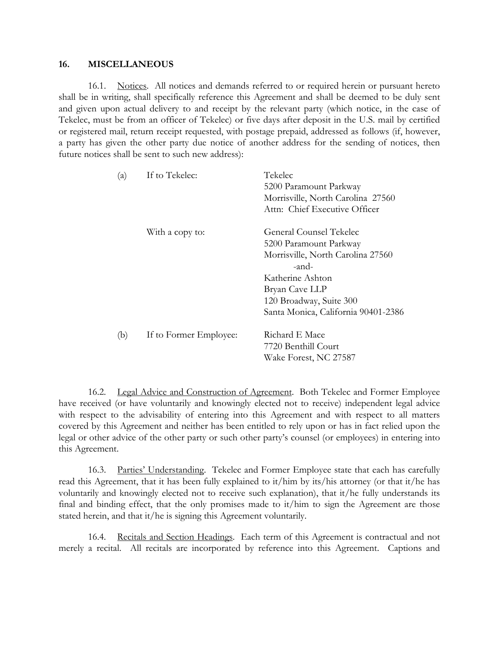## **16. MISCELLANEOUS**

16.1. Notices. All notices and demands referred to or required herein or pursuant hereto shall be in writing, shall specifically reference this Agreement and shall be deemed to be duly sent and given upon actual delivery to and receipt by the relevant party (which notice, in the case of Tekelec, must be from an officer of Tekelec) or five days after deposit in the U.S. mail by certified or registered mail, return receipt requested, with postage prepaid, addressed as follows (if, however, a party has given the other party due notice of another address for the sending of notices, then future notices shall be sent to such new address):

| (a) | If to Tekelec:         | Tekelec<br>5200 Paramount Parkway<br>Morrisville, North Carolina 27560<br>Attn: Chief Executive Officer |  |  |
|-----|------------------------|---------------------------------------------------------------------------------------------------------|--|--|
|     | With a copy to:        | General Counsel Tekelec                                                                                 |  |  |
|     |                        | 5200 Paramount Parkway                                                                                  |  |  |
|     |                        | Morrisville, North Carolina 27560                                                                       |  |  |
|     |                        | -and-                                                                                                   |  |  |
|     |                        | Katherine Ashton                                                                                        |  |  |
|     |                        | Bryan Cave LLP                                                                                          |  |  |
|     |                        | 120 Broadway, Suite 300                                                                                 |  |  |
|     |                        | Santa Monica, California 90401-2386                                                                     |  |  |
| (b) | If to Former Employee: | Richard E Mace                                                                                          |  |  |
|     |                        | 7720 Benthill Court                                                                                     |  |  |
|     |                        | Wake Forest, NC 27587                                                                                   |  |  |

16.2. Legal Advice and Construction of Agreement. Both Tekelec and Former Employee have received (or have voluntarily and knowingly elected not to receive) independent legal advice with respect to the advisability of entering into this Agreement and with respect to all matters covered by this Agreement and neither has been entitled to rely upon or has in fact relied upon the legal or other advice of the other party or such other party's counsel (or employees) in entering into this Agreement.

16.3. Parties' Understanding. Tekelec and Former Employee state that each has carefully read this Agreement, that it has been fully explained to it/him by its/his attorney (or that it/he has voluntarily and knowingly elected not to receive such explanation), that it/he fully understands its final and binding effect, that the only promises made to it/him to sign the Agreement are those stated herein, and that it/he is signing this Agreement voluntarily.

16.4. Recitals and Section Headings. Each term of this Agreement is contractual and not merely a recital. All recitals are incorporated by reference into this Agreement. Captions and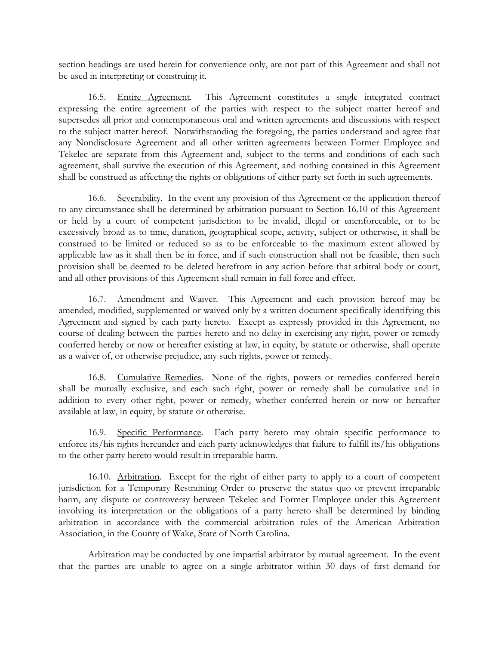section headings are used herein for convenience only, are not part of this Agreement and shall not be used in interpreting or construing it.

16.5. Entire Agreement. This Agreement constitutes a single integrated contract expressing the entire agreement of the parties with respect to the subject matter hereof and supersedes all prior and contemporaneous oral and written agreements and discussions with respect to the subject matter hereof. Notwithstanding the foregoing, the parties understand and agree that any Nondisclosure Agreement and all other written agreements between Former Employee and Tekelec are separate from this Agreement and, subject to the terms and conditions of each such agreement, shall survive the execution of this Agreement, and nothing contained in this Agreement shall be construed as affecting the rights or obligations of either party set forth in such agreements.

16.6. Severability. In the event any provision of this Agreement or the application thereof to any circumstance shall be determined by arbitration pursuant to Section 16.10 of this Agreement or held by a court of competent jurisdiction to be invalid, illegal or unenforceable, or to be excessively broad as to time, duration, geographical scope, activity, subject or otherwise, it shall be construed to be limited or reduced so as to be enforceable to the maximum extent allowed by applicable law as it shall then be in force, and if such construction shall not be feasible, then such provision shall be deemed to be deleted herefrom in any action before that arbitral body or court, and all other provisions of this Agreement shall remain in full force and effect.

16.7. Amendment and Waiver. This Agreement and each provision hereof may be amended, modified, supplemented or waived only by a written document specifically identifying this Agreement and signed by each party hereto. Except as expressly provided in this Agreement, no course of dealing between the parties hereto and no delay in exercising any right, power or remedy conferred hereby or now or hereafter existing at law, in equity, by statute or otherwise, shall operate as a waiver of, or otherwise prejudice, any such rights, power or remedy.

16.8. Cumulative Remedies. None of the rights, powers or remedies conferred herein shall be mutually exclusive, and each such right, power or remedy shall be cumulative and in addition to every other right, power or remedy, whether conferred herein or now or hereafter available at law, in equity, by statute or otherwise.

16.9. Specific Performance. Each party hereto may obtain specific performance to enforce its/his rights hereunder and each party acknowledges that failure to fulfill its/his obligations to the other party hereto would result in irreparable harm.

16.10. Arbitration. Except for the right of either party to apply to a court of competent jurisdiction for a Temporary Restraining Order to preserve the status quo or prevent irreparable harm, any dispute or controversy between Tekelec and Former Employee under this Agreement involving its interpretation or the obligations of a party hereto shall be determined by binding arbitration in accordance with the commercial arbitration rules of the American Arbitration Association, in the County of Wake, State of North Carolina.

Arbitration may be conducted by one impartial arbitrator by mutual agreement. In the event that the parties are unable to agree on a single arbitrator within 30 days of first demand for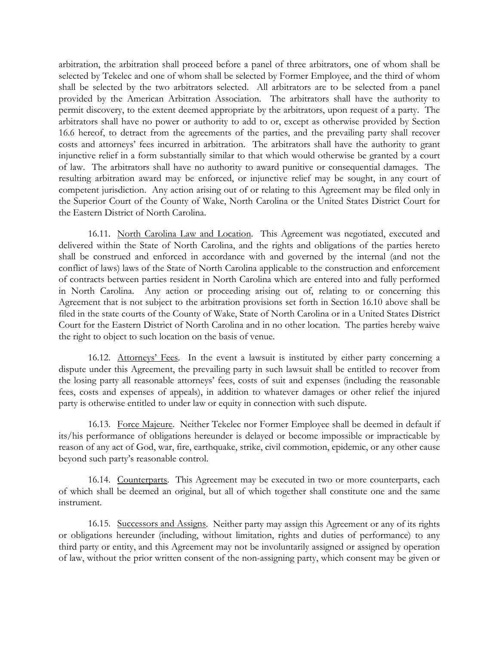arbitration, the arbitration shall proceed before a panel of three arbitrators, one of whom shall be selected by Tekelec and one of whom shall be selected by Former Employee, and the third of whom shall be selected by the two arbitrators selected. All arbitrators are to be selected from a panel provided by the American Arbitration Association. The arbitrators shall have the authority to permit discovery, to the extent deemed appropriate by the arbitrators, upon request of a party. The arbitrators shall have no power or authority to add to or, except as otherwise provided by Section 16.6 hereof, to detract from the agreements of the parties, and the prevailing party shall recover costs and attorneys' fees incurred in arbitration. The arbitrators shall have the authority to grant injunctive relief in a form substantially similar to that which would otherwise be granted by a court of law. The arbitrators shall have no authority to award punitive or consequential damages. The resulting arbitration award may be enforced, or injunctive relief may be sought, in any court of competent jurisdiction. Any action arising out of or relating to this Agreement may be filed only in the Superior Court of the County of Wake, North Carolina or the United States District Court for the Eastern District of North Carolina.

16.11. North Carolina Law and Location. This Agreement was negotiated, executed and delivered within the State of North Carolina, and the rights and obligations of the parties hereto shall be construed and enforced in accordance with and governed by the internal (and not the conflict of laws) laws of the State of North Carolina applicable to the construction and enforcement of contracts between parties resident in North Carolina which are entered into and fully performed in North Carolina. Any action or proceeding arising out of, relating to or concerning this Agreement that is not subject to the arbitration provisions set forth in Section 16.10 above shall be filed in the state courts of the County of Wake, State of North Carolina or in a United States District Court for the Eastern District of North Carolina and in no other location. The parties hereby waive the right to object to such location on the basis of venue.

16.12. Attorneys' Fees. In the event a lawsuit is instituted by either party concerning a dispute under this Agreement, the prevailing party in such lawsuit shall be entitled to recover from the losing party all reasonable attorneys' fees, costs of suit and expenses (including the reasonable fees, costs and expenses of appeals), in addition to whatever damages or other relief the injured party is otherwise entitled to under law or equity in connection with such dispute.

16.13. Force Majeure. Neither Tekelec nor Former Employee shall be deemed in default if its/his performance of obligations hereunder is delayed or become impossible or impracticable by reason of any act of God, war, fire, earthquake, strike, civil commotion, epidemic, or any other cause beyond such party's reasonable control.

16.14. Counterparts. This Agreement may be executed in two or more counterparts, each of which shall be deemed an original, but all of which together shall constitute one and the same instrument.

16.15. Successors and Assigns. Neither party may assign this Agreement or any of its rights or obligations hereunder (including, without limitation, rights and duties of performance) to any third party or entity, and this Agreement may not be involuntarily assigned or assigned by operation of law, without the prior written consent of the non-assigning party, which consent may be given or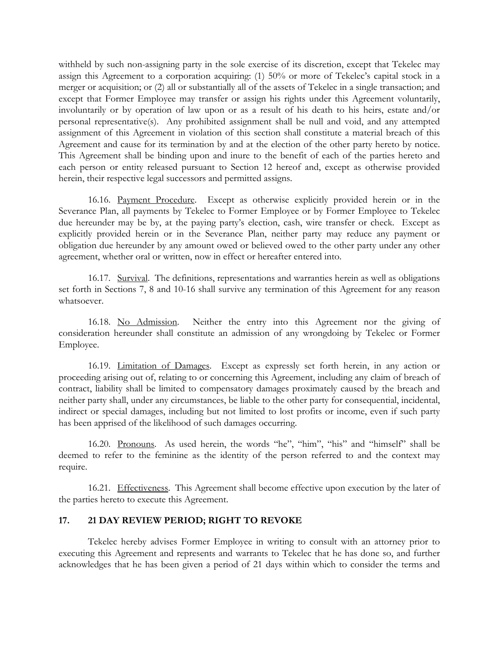withheld by such non-assigning party in the sole exercise of its discretion, except that Tekelec may assign this Agreement to a corporation acquiring: (1) 50% or more of Tekelec's capital stock in a merger or acquisition; or (2) all or substantially all of the assets of Tekelec in a single transaction; and except that Former Employee may transfer or assign his rights under this Agreement voluntarily, involuntarily or by operation of law upon or as a result of his death to his heirs, estate and/or personal representative(s). Any prohibited assignment shall be null and void, and any attempted assignment of this Agreement in violation of this section shall constitute a material breach of this Agreement and cause for its termination by and at the election of the other party hereto by notice. This Agreement shall be binding upon and inure to the benefit of each of the parties hereto and each person or entity released pursuant to Section 12 hereof and, except as otherwise provided herein, their respective legal successors and permitted assigns.

16.16. Payment Procedure. Except as otherwise explicitly provided herein or in the Severance Plan, all payments by Tekelec to Former Employee or by Former Employee to Tekelec due hereunder may be by, at the paying party's election, cash, wire transfer or check. Except as explicitly provided herein or in the Severance Plan, neither party may reduce any payment or obligation due hereunder by any amount owed or believed owed to the other party under any other agreement, whether oral or written, now in effect or hereafter entered into.

16.17. Survival. The definitions, representations and warranties herein as well as obligations set forth in Sections 7, 8 and 10-16 shall survive any termination of this Agreement for any reason whatsoever.

16.18. No Admission. Neither the entry into this Agreement nor the giving of consideration hereunder shall constitute an admission of any wrongdoing by Tekelec or Former Employee.

16.19. Limitation of Damages. Except as expressly set forth herein, in any action or proceeding arising out of, relating to or concerning this Agreement, including any claim of breach of contract, liability shall be limited to compensatory damages proximately caused by the breach and neither party shall, under any circumstances, be liable to the other party for consequential, incidental, indirect or special damages, including but not limited to lost profits or income, even if such party has been apprised of the likelihood of such damages occurring.

16.20. Pronouns. As used herein, the words "he", "him", "his" and "himself" shall be deemed to refer to the feminine as the identity of the person referred to and the context may require.

16.21. Effectiveness. This Agreement shall become effective upon execution by the later of the parties hereto to execute this Agreement.

## **17. 21 DAY REVIEW PERIOD; RIGHT TO REVOKE**

Tekelec hereby advises Former Employee in writing to consult with an attorney prior to executing this Agreement and represents and warrants to Tekelec that he has done so, and further acknowledges that he has been given a period of 21 days within which to consider the terms and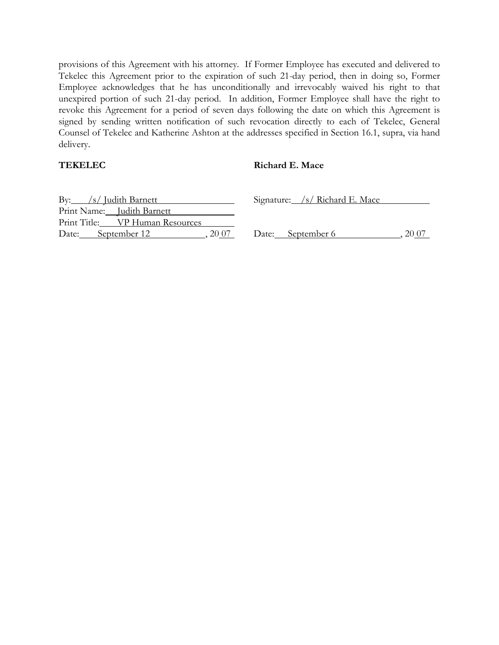provisions of this Agreement with his attorney. If Former Employee has executed and delivered to Tekelec this Agreement prior to the expiration of such 21-day period, then in doing so, Former Employee acknowledges that he has unconditionally and irrevocably waived his right to that unexpired portion of such 21-day period. In addition, Former Employee shall have the right to revoke this Agreement for a period of seven days following the date on which this Agreement is signed by sending written notification of such revocation directly to each of Tekelec, General Counsel of Tekelec and Katherine Ashton at the addresses specified in Section 16.1, supra, via hand delivery.

# **TEKELEC**

# **Richard E. Mace**

| By: /s/ Judith Barnett<br><u>and the company of the company of the company of the company of the company of the company of the company of the company of the company of the company of the company of the company of the company of the company of the com</u> | Signature: /s/ Richard E. Mace |
|----------------------------------------------------------------------------------------------------------------------------------------------------------------------------------------------------------------------------------------------------------------|--------------------------------|
| Print Name: Judith Barnett                                                                                                                                                                                                                                     |                                |
| Print Title: VP Human Resources                                                                                                                                                                                                                                |                                |
| Date: September 12 , $20\overline{07}$                                                                                                                                                                                                                         | 20 07<br>Date: September 6     |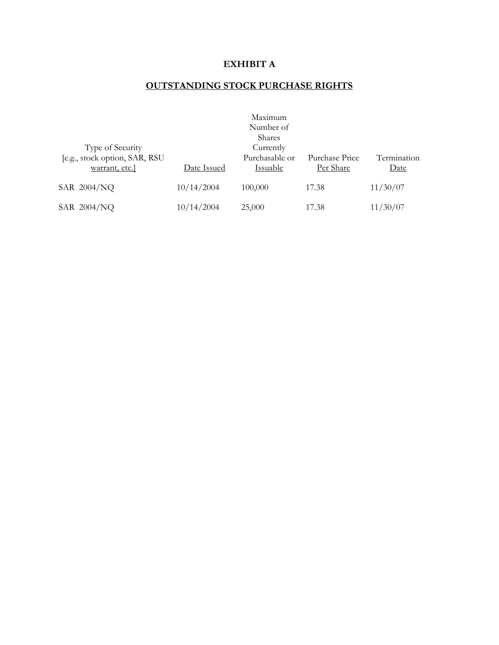# **EXHIBIT A**

# **OUTSTANDING STOCK PURCHASE RIGHTS**

|                               |             | Maximum        |                |             |
|-------------------------------|-------------|----------------|----------------|-------------|
|                               |             | Number of      |                |             |
|                               |             | <b>Shares</b>  |                |             |
| Type of Security              |             | Currently      |                |             |
| [e.g., stock option, SAR, RSU |             | Purchasable or | Purchase Price | Termination |
| warrant, etc.                 | Date Issued | Issuable       | Per Share      | Date        |
| SAR 2004/NQ                   | 10/14/2004  | 100,000        | 17.38          | 11/30/07    |
| SAR 2004/NQ                   | 10/14/2004  | 25,000         | 17.38          | 11/30/07    |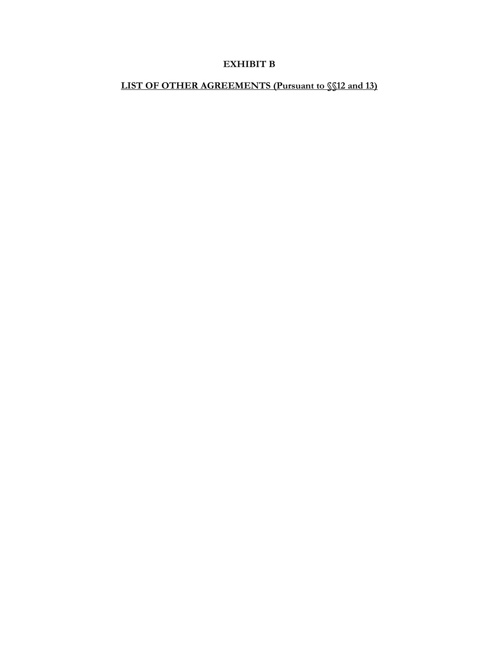# **EXHIBIT B**

# **LIST OF OTHER AGREEMENTS (Pursuant to §§12 and 13)**